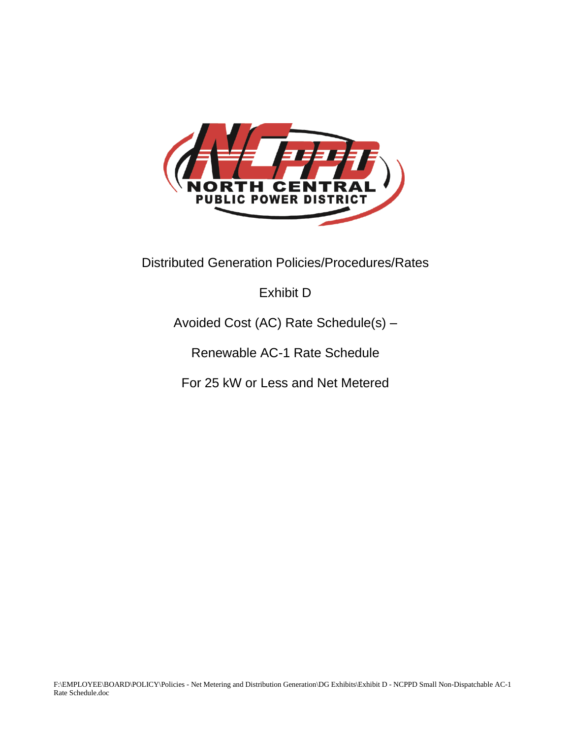

Distributed Generation Policies/Procedures/Rates

# Exhibit D

# Avoided Cost (AC) Rate Schedule(s) –

Renewable AC-1 Rate Schedule

For 25 kW or Less and Net Metered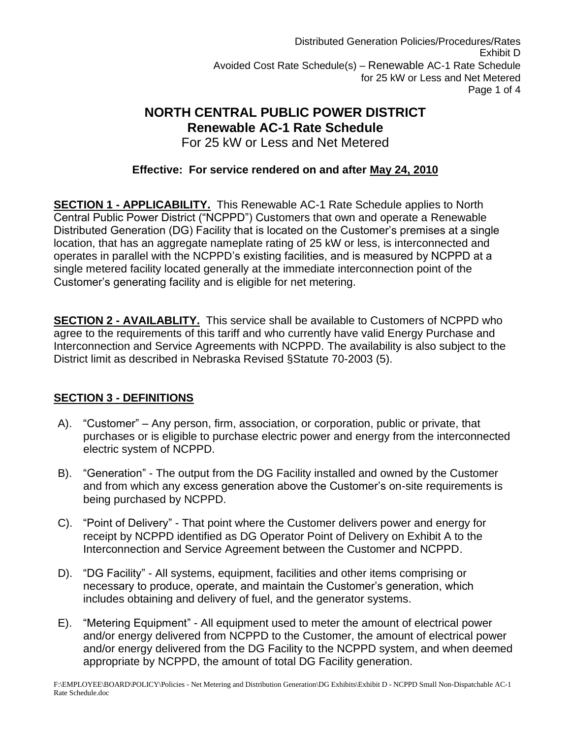Distributed Generation Policies/Procedures/Rates Exhibit D Avoided Cost Rate Schedule(s) – Renewable AC-1 Rate Schedule for 25 kW or Less and Net Metered Page 1 of 4

# **NORTH CENTRAL PUBLIC POWER DISTRICT Renewable AC-1 Rate Schedule**

For 25 kW or Less and Net Metered

## **Effective: For service rendered on and after May 24, 2010**

**SECTION 1 - APPLICABILITY.** This Renewable AC-1 Rate Schedule applies to North Central Public Power District ("NCPPD") Customers that own and operate a Renewable Distributed Generation (DG) Facility that is located on the Customer's premises at a single location, that has an aggregate nameplate rating of 25 kW or less, is interconnected and operates in parallel with the NCPPD's existing facilities, and is measured by NCPPD at a single metered facility located generally at the immediate interconnection point of the Customer's generating facility and is eligible for net metering.

**SECTION 2 - AVAILABLITY.** This service shall be available to Customers of NCPPD who agree to the requirements of this tariff and who currently have valid Energy Purchase and Interconnection and Service Agreements with NCPPD. The availability is also subject to the District limit as described in Nebraska Revised §Statute 70-2003 (5).

## **SECTION 3 - DEFINITIONS**

- A). "Customer" Any person, firm, association, or corporation, public or private, that purchases or is eligible to purchase electric power and energy from the interconnected electric system of NCPPD.
- B). "Generation" The output from the DG Facility installed and owned by the Customer and from which any excess generation above the Customer's on-site requirements is being purchased by NCPPD.
- C). "Point of Delivery" That point where the Customer delivers power and energy for receipt by NCPPD identified as DG Operator Point of Delivery on Exhibit A to the Interconnection and Service Agreement between the Customer and NCPPD.
- D). "DG Facility" All systems, equipment, facilities and other items comprising or necessary to produce, operate, and maintain the Customer's generation, which includes obtaining and delivery of fuel, and the generator systems.
- E). "Metering Equipment" All equipment used to meter the amount of electrical power and/or energy delivered from NCPPD to the Customer, the amount of electrical power and/or energy delivered from the DG Facility to the NCPPD system, and when deemed appropriate by NCPPD, the amount of total DG Facility generation.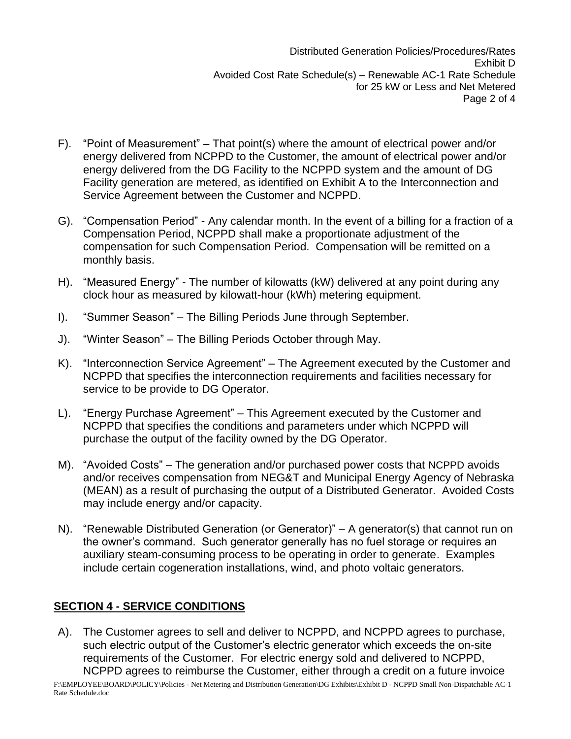- F). "Point of Measurement" That point(s) where the amount of electrical power and/or energy delivered from NCPPD to the Customer, the amount of electrical power and/or energy delivered from the DG Facility to the NCPPD system and the amount of DG Facility generation are metered, as identified on Exhibit A to the Interconnection and Service Agreement between the Customer and NCPPD.
- G). "Compensation Period" Any calendar month. In the event of a billing for a fraction of a Compensation Period, NCPPD shall make a proportionate adjustment of the compensation for such Compensation Period. Compensation will be remitted on a monthly basis.
- H). "Measured Energy" The number of kilowatts (kW) delivered at any point during any clock hour as measured by kilowatt-hour (kWh) metering equipment.
- I). "Summer Season" The Billing Periods June through September.
- J). "Winter Season" The Billing Periods October through May.
- K). "Interconnection Service Agreement" The Agreement executed by the Customer and NCPPD that specifies the interconnection requirements and facilities necessary for service to be provide to DG Operator.
- L). "Energy Purchase Agreement" This Agreement executed by the Customer and NCPPD that specifies the conditions and parameters under which NCPPD will purchase the output of the facility owned by the DG Operator.
- M). "Avoided Costs" The generation and/or purchased power costs that NCPPD avoids and/or receives compensation from NEG&T and Municipal Energy Agency of Nebraska (MEAN) as a result of purchasing the output of a Distributed Generator. Avoided Costs may include energy and/or capacity.
- N). "Renewable Distributed Generation (or Generator)" A generator(s) that cannot run on the owner's command. Such generator generally has no fuel storage or requires an auxiliary steam-consuming process to be operating in order to generate. Examples include certain cogeneration installations, wind, and photo voltaic generators.

#### **SECTION 4 - SERVICE CONDITIONS**

A). The Customer agrees to sell and deliver to NCPPD, and NCPPD agrees to purchase, such electric output of the Customer's electric generator which exceeds the on-site requirements of the Customer. For electric energy sold and delivered to NCPPD, NCPPD agrees to reimburse the Customer, either through a credit on a future invoice

F:\EMPLOYEE\BOARD\POLICY\Policies - Net Metering and Distribution Generation\DG Exhibits\Exhibit D - NCPPD Small Non-Dispatchable AC-1 Rate Schedule.doc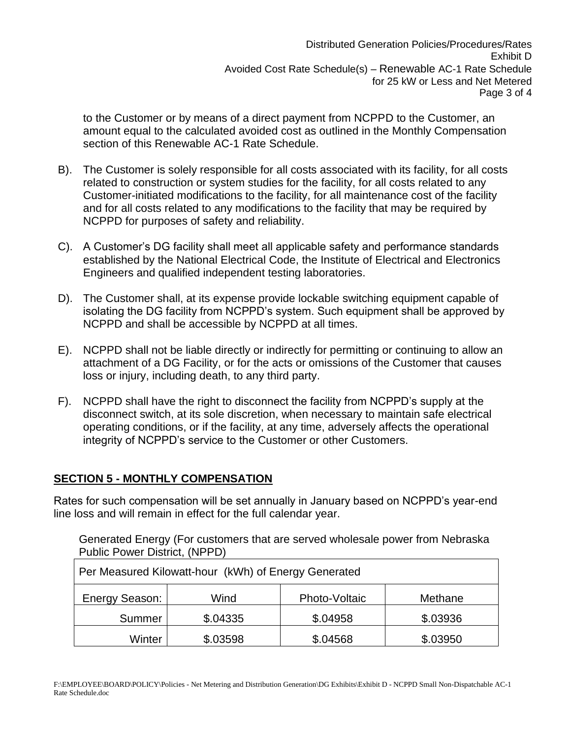to the Customer or by means of a direct payment from NCPPD to the Customer, an amount equal to the calculated avoided cost as outlined in the Monthly Compensation section of this Renewable AC-1 Rate Schedule.

- B). The Customer is solely responsible for all costs associated with its facility, for all costs related to construction or system studies for the facility, for all costs related to any Customer-initiated modifications to the facility, for all maintenance cost of the facility and for all costs related to any modifications to the facility that may be required by NCPPD for purposes of safety and reliability.
- C). A Customer's DG facility shall meet all applicable safety and performance standards established by the National Electrical Code, the Institute of Electrical and Electronics Engineers and qualified independent testing laboratories.
- D). The Customer shall, at its expense provide lockable switching equipment capable of isolating the DG facility from NCPPD's system. Such equipment shall be approved by NCPPD and shall be accessible by NCPPD at all times.
- E). NCPPD shall not be liable directly or indirectly for permitting or continuing to allow an attachment of a DG Facility, or for the acts or omissions of the Customer that causes loss or injury, including death, to any third party.
- F). NCPPD shall have the right to disconnect the facility from NCPPD's supply at the disconnect switch, at its sole discretion, when necessary to maintain safe electrical operating conditions, or if the facility, at any time, adversely affects the operational integrity of NCPPD's service to the Customer or other Customers.

#### **SECTION 5 - MONTHLY COMPENSATION**

Rates for such compensation will be set annually in January based on NCPPD's year-end line loss and will remain in effect for the full calendar year.

Generated Energy (For customers that are served wholesale power from Nebraska Public Power District, (NPPD)

| Per Measured Kilowatt-hour (kWh) of Energy Generated |          |               |          |  |  |  |
|------------------------------------------------------|----------|---------------|----------|--|--|--|
| Energy Season:<br>Wind                               |          | Photo-Voltaic | Methane  |  |  |  |
| Summer                                               | \$.04335 | \$.04958      | \$.03936 |  |  |  |
| Winter                                               | \$.03598 | \$.04568      | \$.03950 |  |  |  |